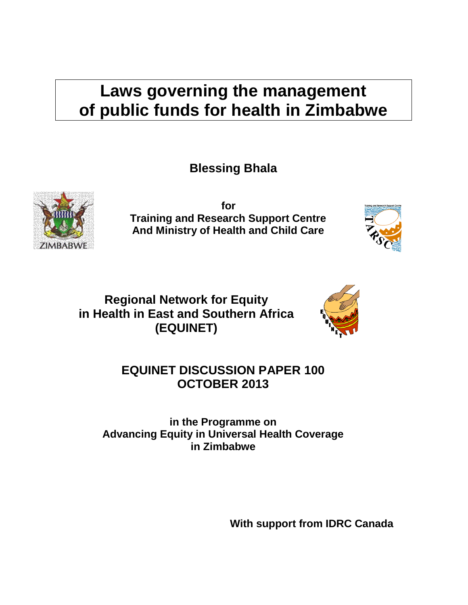# **Laws governing the management of public funds for health in Zimbabwe**

**Blessing Bhala**



**for Training and Research Support Centre And Ministry of Health and Child Care**



**Regional Network for Equity in Health in East and Southern Africa (EQUINET)**



## **EQUINET DISCUSSION PAPER 100 OCTOBER 2013**

**in the Programme on Advancing Equity in Universal Health Coverage in Zimbabwe**

**With support from IDRC Canada**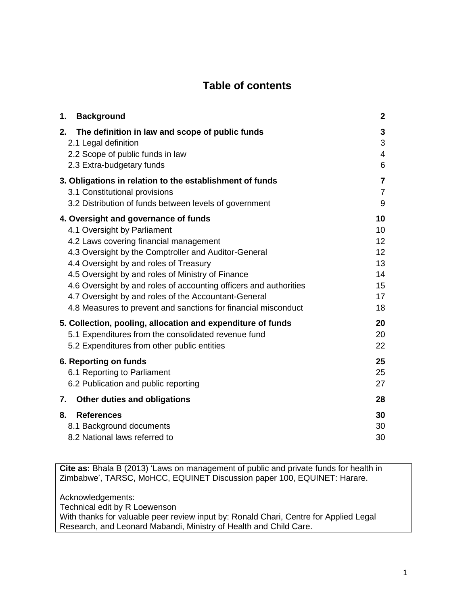## **Table of contents**

| 1.<br><b>Background</b>                                                                                                                                                                                                                                                                                                                                                                                                                                                                                                                                                                                                                  | $\mathbf{2}$                                                                      |
|------------------------------------------------------------------------------------------------------------------------------------------------------------------------------------------------------------------------------------------------------------------------------------------------------------------------------------------------------------------------------------------------------------------------------------------------------------------------------------------------------------------------------------------------------------------------------------------------------------------------------------------|-----------------------------------------------------------------------------------|
| 2.<br>The definition in law and scope of public funds<br>2.1 Legal definition<br>2.2 Scope of public funds in law<br>2.3 Extra-budgetary funds                                                                                                                                                                                                                                                                                                                                                                                                                                                                                           | 3<br>3<br>4<br>6                                                                  |
| 3. Obligations in relation to the establishment of funds<br>3.1 Constitutional provisions<br>3.2 Distribution of funds between levels of government                                                                                                                                                                                                                                                                                                                                                                                                                                                                                      | $\overline{\mathbf{7}}$<br>$\overline{7}$<br>9                                    |
| 4. Oversight and governance of funds<br>4.1 Oversight by Parliament<br>4.2 Laws covering financial management<br>4.3 Oversight by the Comptroller and Auditor-General<br>4.4 Oversight by and roles of Treasury<br>4.5 Oversight by and roles of Ministry of Finance<br>4.6 Oversight by and roles of accounting officers and authorities<br>4.7 Oversight by and roles of the Accountant-General<br>4.8 Measures to prevent and sanctions for financial misconduct<br>5. Collection, pooling, allocation and expenditure of funds<br>5.1 Expenditures from the consolidated revenue fund<br>5.2 Expenditures from other public entities | 10<br>10<br>12 <sub>2</sub><br>12<br>13<br>14<br>15<br>17<br>18<br>20<br>20<br>22 |
| 6. Reporting on funds<br>6.1 Reporting to Parliament<br>6.2 Publication and public reporting                                                                                                                                                                                                                                                                                                                                                                                                                                                                                                                                             | 25<br>25<br>27                                                                    |
| Other duties and obligations<br>7.                                                                                                                                                                                                                                                                                                                                                                                                                                                                                                                                                                                                       | 28                                                                                |
| 8.<br><b>References</b><br>8.1 Background documents<br>8.2 National laws referred to                                                                                                                                                                                                                                                                                                                                                                                                                                                                                                                                                     | 30<br>30<br>30                                                                    |

**Cite as:** Bhala B (2013) 'Laws on management of public and private funds for health in Zimbabwe', TARSC, MoHCC, EQUINET Discussion paper 100, EQUINET: Harare.

Acknowledgements:

Technical edit by R Loewenson

With thanks for valuable peer review input by: Ronald Chari, Centre for Applied Legal Research, and Leonard Mabandi, Ministry of Health and Child Care.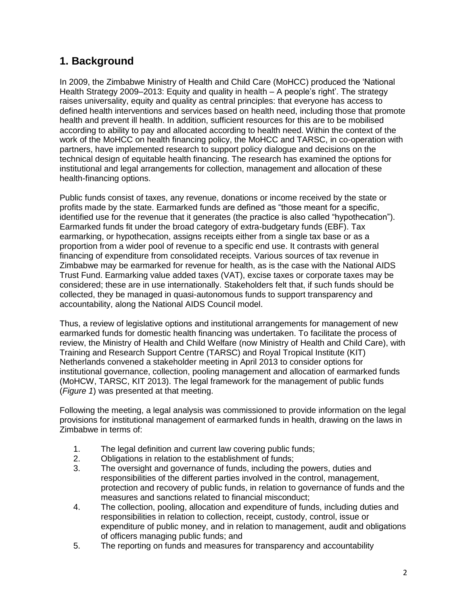## <span id="page-2-0"></span>**1. Background**

In 2009, the Zimbabwe Ministry of Health and Child Care (MoHCC) produced the 'National Health Strategy 2009–2013: Equity and quality in health – A people's right'. The strategy raises universality, equity and quality as central principles: that everyone has access to defined health interventions and services based on health need, including those that promote health and prevent ill health. In addition, sufficient resources for this are to be mobilised according to ability to pay and allocated according to health need. Within the context of the work of the MoHCC on health financing policy, the MoHCC and TARSC, in co-operation with partners, have implemented research to support policy dialogue and decisions on the technical design of equitable health financing. The research has examined the options for institutional and legal arrangements for collection, management and allocation of these health-financing options.

Public funds consist of taxes, any revenue, donations or income received by the state or profits made by the state. Earmarked funds are defined as "those meant for a specific, identified use for the revenue that it generates (the practice is also called "hypothecation"). Earmarked funds fit under the broad category of extra-budgetary funds (EBF). Tax earmarking, or hypothecation, assigns receipts either from a single tax base or as a proportion from a wider pool of revenue to a specific end use. It contrasts with general financing of expenditure from consolidated receipts. Various sources of tax revenue in Zimbabwe may be earmarked for revenue for health, as is the case with the National AIDS Trust Fund. Earmarking value added taxes (VAT), excise taxes or corporate taxes may be considered; these are in use internationally. Stakeholders felt that, if such funds should be collected, they be managed in quasi-autonomous funds to support transparency and accountability, along the National AIDS Council model.

Thus, a review of legislative options and institutional arrangements for management of new earmarked funds for domestic health financing was undertaken. To facilitate the process of review, the Ministry of Health and Child Welfare (now Ministry of Health and Child Care), with Training and Research Support Centre (TARSC) and Royal Tropical Institute (KIT) Netherlands convened a stakeholder meeting in April 2013 to consider options for institutional governance, collection, pooling management and allocation of earmarked funds (MoHCW, TARSC, KIT 2013). The legal framework for the management of public funds (*Figure 1*) was presented at that meeting.

Following the meeting, a legal analysis was commissioned to provide information on the legal provisions for institutional management of earmarked funds in health, drawing on the laws in Zimbabwe in terms of:

- 1. The legal definition and current law covering public funds;
- 2. Obligations in relation to the establishment of funds;
- 3. The oversight and governance of funds, including the powers, duties and responsibilities of the different parties involved in the control, management, protection and recovery of public funds, in relation to governance of funds and the measures and sanctions related to financial misconduct;
- 4. The collection, pooling, allocation and expenditure of funds, including duties and responsibilities in relation to collection, receipt, custody, control, issue or expenditure of public money, and in relation to management, audit and obligations of officers managing public funds; and
- 5. The reporting on funds and measures for transparency and accountability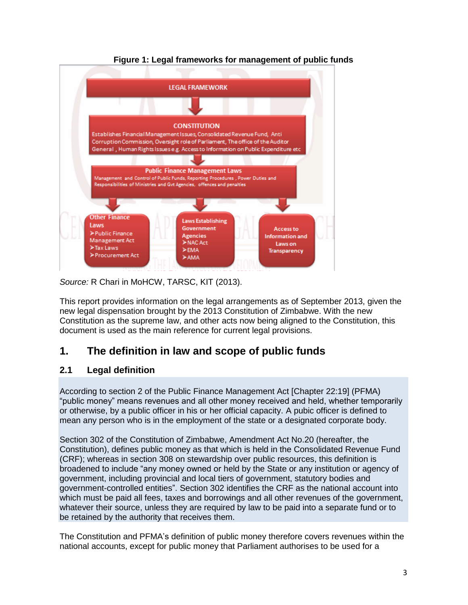

#### **Figure 1: Legal frameworks for management of public funds**

*Source:* R Chari in MoHCW, TARSC, KIT (2013).

This report provides information on the legal arrangements as of September 2013, given the new legal dispensation brought by the 2013 Constitution of Zimbabwe. With the new Constitution as the supreme law, and other acts now being aligned to the Constitution, this document is used as the main reference for current legal provisions.

## <span id="page-3-0"></span>**1. The definition in law and scope of public funds**

#### <span id="page-3-1"></span>**2.1 Legal definition**

According to section 2 of the Public Finance Management Act [Chapter 22:19] (PFMA) "public money" means revenues and all other money received and held, whether temporarily or otherwise, by a public officer in his or her official capacity. A pubic officer is defined to mean any person who is in the employment of the state or a designated corporate body.

Section 302 of the Constitution of Zimbabwe, Amendment Act No.20 (hereafter, the Constitution), defines public money as that which is held in the Consolidated Revenue Fund (CRF); whereas in section 308 on stewardship over public resources, this definition is broadened to include "any money owned or held by the State or any institution or agency of government, including provincial and local tiers of government, statutory bodies and government-controlled entities". Section 302 identifies the CRF as the national account into which must be paid all fees, taxes and borrowings and all other revenues of the government, whatever their source, unless they are required by law to be paid into a separate fund or to be retained by the authority that receives them.

The Constitution and PFMA's definition of public money therefore covers revenues within the national accounts, except for public money that Parliament authorises to be used for a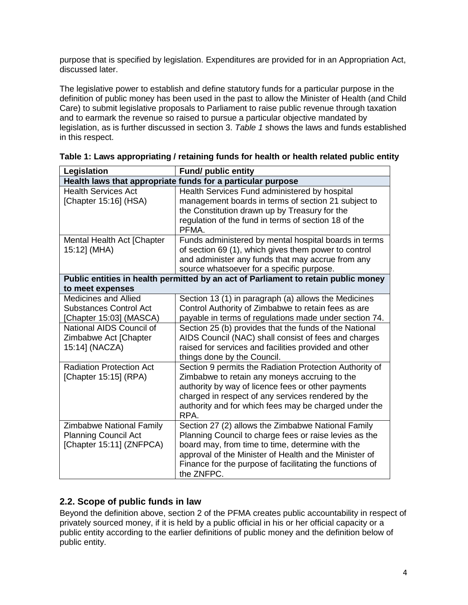purpose that is specified by legislation. Expenditures are provided for in an Appropriation Act, discussed later.

The legislative power to establish and define statutory funds for a particular purpose in the definition of public money has been used in the past to allow the Minister of Health (and Child Care) to submit legislative proposals to Parliament to raise public revenue through taxation and to earmark the revenue so raised to pursue a particular objective mandated by legislation, as is further discussed in section 3. *Table 1* shows the laws and funds established in this respect.

| Legislation                                                                                | <b>Fund/ public entity</b>                                                                                                                                                                                                                                                                           |  |  |  |  |  |
|--------------------------------------------------------------------------------------------|------------------------------------------------------------------------------------------------------------------------------------------------------------------------------------------------------------------------------------------------------------------------------------------------------|--|--|--|--|--|
| Health laws that appropriate funds for a particular purpose                                |                                                                                                                                                                                                                                                                                                      |  |  |  |  |  |
| <b>Health Services Act</b><br>[Chapter 15:16] (HSA)                                        | Health Services Fund administered by hospital<br>management boards in terms of section 21 subject to<br>the Constitution drawn up by Treasury for the<br>regulation of the fund in terms of section 18 of the                                                                                        |  |  |  |  |  |
|                                                                                            | PFMA.                                                                                                                                                                                                                                                                                                |  |  |  |  |  |
| Mental Health Act [Chapter<br>15:12] (MHA)                                                 | Funds administered by mental hospital boards in terms<br>of section 69 (1), which gives them power to control<br>and administer any funds that may accrue from any<br>source whatsoever for a specific purpose.                                                                                      |  |  |  |  |  |
|                                                                                            | Public entities in health permitted by an act of Parliament to retain public money                                                                                                                                                                                                                   |  |  |  |  |  |
| to meet expenses                                                                           |                                                                                                                                                                                                                                                                                                      |  |  |  |  |  |
| <b>Medicines and Allied</b><br><b>Substances Control Act</b><br>[Chapter 15:03] (MASCA)    | Section 13 (1) in paragraph (a) allows the Medicines<br>Control Authority of Zimbabwe to retain fees as are<br>payable in terms of regulations made under section 74.                                                                                                                                |  |  |  |  |  |
| National AIDS Council of<br>Zimbabwe Act [Chapter<br>15:14] (NACZA)                        | Section 25 (b) provides that the funds of the National<br>AIDS Council (NAC) shall consist of fees and charges<br>raised for services and facilities provided and other<br>things done by the Council.                                                                                               |  |  |  |  |  |
| <b>Radiation Protection Act</b><br>[Chapter 15:15] (RPA)                                   | Section 9 permits the Radiation Protection Authority of<br>Zimbabwe to retain any moneys accruing to the<br>authority by way of licence fees or other payments<br>charged in respect of any services rendered by the<br>authority and for which fees may be charged under the<br>RPA.                |  |  |  |  |  |
| <b>Zimbabwe National Family</b><br><b>Planning Council Act</b><br>[Chapter 15:11] (ZNFPCA) | Section 27 (2) allows the Zimbabwe National Family<br>Planning Council to charge fees or raise levies as the<br>board may, from time to time, determine with the<br>approval of the Minister of Health and the Minister of<br>Finance for the purpose of facilitating the functions of<br>the ZNFPC. |  |  |  |  |  |

| Table 1: Laws appropriating / retaining funds for health or health related public entity |  |  |  |  |  |  |  |  |  |  |
|------------------------------------------------------------------------------------------|--|--|--|--|--|--|--|--|--|--|
|------------------------------------------------------------------------------------------|--|--|--|--|--|--|--|--|--|--|

#### <span id="page-4-0"></span>**2.2. Scope of public funds in law**

Beyond the definition above, section 2 of the PFMA creates public accountability in respect of privately sourced money, if it is held by a public official in his or her official capacity or a public entity according to the earlier definitions of public money and the definition below of public entity.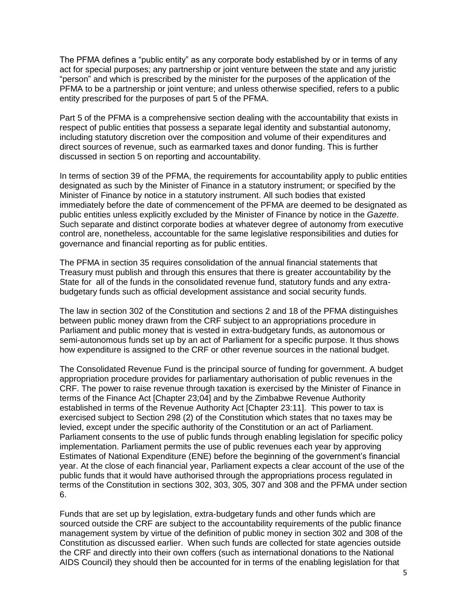The PFMA defines a "public entity" as any corporate body established by or in terms of any act for special purposes; any partnership or joint venture between the state and any juristic "person" and which is prescribed by the minister for the purposes of the application of the PFMA to be a partnership or joint venture; and unless otherwise specified, refers to a public entity prescribed for the purposes of part 5 of the PFMA.

Part 5 of the PFMA is a comprehensive section dealing with the accountability that exists in respect of public entities that possess a separate legal identity and substantial autonomy, including statutory discretion over the composition and volume of their expenditures and direct sources of revenue, such as earmarked taxes and donor funding. This is further discussed in section 5 on reporting and accountability.

In terms of section 39 of the PFMA, the requirements for accountability apply to public entities designated as such by the Minister of Finance in a statutory instrument; or specified by the Minister of Finance by notice in a statutory instrument. All such bodies that existed immediately before the date of commencement of the PFMA are deemed to be designated as public entities unless explicitly excluded by the Minister of Finance by notice in the *Gazette*. Such separate and distinct corporate bodies at whatever degree of autonomy from executive control are, nonetheless, accountable for the same legislative responsibilities and duties for governance and financial reporting as for public entities.

The PFMA in section 35 requires consolidation of the annual financial statements that Treasury must publish and through this ensures that there is greater accountability by the State for all of the funds in the consolidated revenue fund, statutory funds and any extrabudgetary funds such as official development assistance and social security funds.

The law in section 302 of the Constitution and sections 2 and 18 of the PFMA distinguishes between public money drawn from the CRF subject to an appropriations procedure in Parliament and public money that is vested in extra-budgetary funds, as autonomous or semi-autonomous funds set up by an act of Parliament for a specific purpose. It thus shows how expenditure is assigned to the CRF or other revenue sources in the national budget.

The Consolidated Revenue Fund is the principal source of funding for government. A budget appropriation procedure provides for parliamentary authorisation of public revenues in the CRF. The power to raise revenue through taxation is exercised by the Minister of Finance in terms of the Finance Act [Chapter 23;04] and by the Zimbabwe Revenue Authority established in terms of the Revenue Authority Act [Chapter 23:11]. This power to tax is exercised subject to Section 298 (2) of the Constitution which states that no taxes may be levied, except under the specific authority of the Constitution or an act of Parliament. Parliament consents to the use of public funds through enabling legislation for specific policy implementation. Parliament permits the use of public revenues each year by approving Estimates of National Expenditure (ENE) before the beginning of the government's financial year. At the close of each financial year, Parliament expects a clear account of the use of the public funds that it would have authorised through the appropriations process regulated in terms of the Constitution in sections 302, 303, 305*,* 307 and 308 and the PFMA under section 6.

Funds that are set up by legislation, extra-budgetary funds and other funds which are sourced outside the CRF are subject to the accountability requirements of the public finance management system by virtue of the definition of public money in section 302 and 308 of the Constitution as discussed earlier. When such funds are collected for state agencies outside the CRF and directly into their own coffers (such as international donations to the National AIDS Council) they should then be accounted for in terms of the enabling legislation for that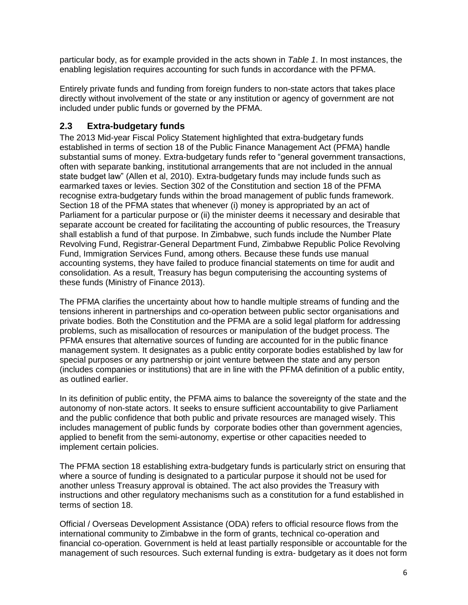particular body, as for example provided in the acts shown in *Table 1*. In most instances, the enabling legislation requires accounting for such funds in accordance with the PFMA.

Entirely private funds and funding from foreign funders to non*-*state actors that takes place directly without involvement of the state or any institution or agency of government are not included under public funds or governed by the PFMA.

#### <span id="page-6-0"></span>**2.3 Extra-budgetary funds**

The 2013 Mid-year Fiscal Policy Statement highlighted that extra-budgetary funds established in terms of section 18 of the Public Finance Management Act (PFMA) handle substantial sums of money. Extra-budgetary funds refer to "general government transactions, often with separate banking, institutional arrangements that are not included in the annual state budget law" (Allen et al, 2010). Extra-budgetary funds may include funds such as earmarked taxes or levies. Section 302 of the Constitution and section 18 of the PFMA recognise extra-budgetary funds within the broad management of public funds framework. Section 18 of the PFMA states that whenever (i) money is appropriated by an act of Parliament for a particular purpose or (ii) the minister deems it necessary and desirable that separate account be created for facilitating the accounting of public resources, the Treasury shall establish a fund of that purpose. In Zimbabwe, such funds include the Number Plate Revolving Fund, Registrar-General Department Fund, Zimbabwe Republic Police Revolving Fund, Immigration Services Fund, among others. Because these funds use manual accounting systems, they have failed to produce financial statements on time for audit and consolidation. As a result, Treasury has begun computerising the accounting systems of these funds (Ministry of Finance 2013).

The PFMA clarifies the uncertainty about how to handle multiple streams of funding and the tensions inherent in partnerships and co-operation between public sector organisations and private bodies. Both the Constitution and the PFMA are a solid legal platform for addressing problems, such as misallocation of resources or manipulation of the budget process. The PFMA ensures that alternative sources of funding are accounted for in the public finance management system. It designates as a public entity corporate bodies established by law for special purposes or any partnership or joint venture between the state and any person (includes companies or institutions) that are in line with the PFMA definition of a public entity, as outlined earlier.

In its definition of public entity, the PFMA aims to balance the sovereignty of the state and the autonomy of non-state actors. It seeks to ensure sufficient accountability to give Parliament and the public confidence that both public and private resources are managed wisely. This includes management of public funds by corporate bodies other than government agencies, applied to benefit from the semi-autonomy, expertise or other capacities needed to implement certain policies.

The PFMA section 18 establishing extra-budgetary funds is particularly strict on ensuring that where a source of funding is designated to a particular purpose it should not be used for another unless Treasury approval is obtained. The act also provides the Treasury with instructions and other regulatory mechanisms such as a constitution for a fund established in terms of section 18.

Official / Overseas Development Assistance (ODA) refers to official resource flows from the international community to Zimbabwe in the form of grants, technical co-operation and financial co-operation. Government is held at least partially responsible or accountable for the management of such resources. Such external funding is extra- budgetary as it does not form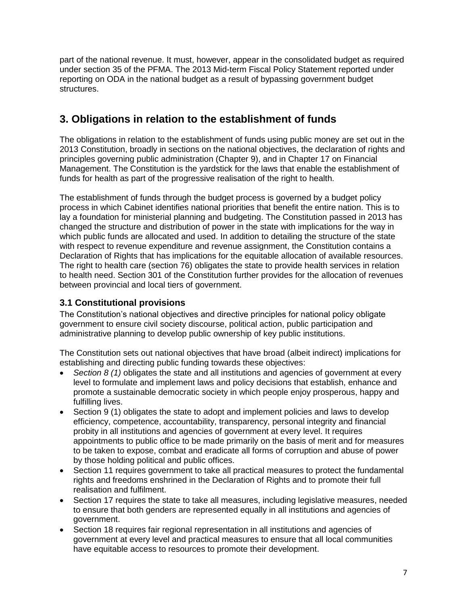part of the national revenue. It must, however, appear in the consolidated budget as required under section 35 of the PFMA. The 2013 Mid-term Fiscal Policy Statement reported under reporting on ODA in the national budget as a result of bypassing government budget structures.

## <span id="page-7-0"></span>**3. Obligations in relation to the establishment of funds**

The obligations in relation to the establishment of funds using public money are set out in the 2013 Constitution, broadly in sections on the national objectives, the declaration of rights and principles governing public administration (Chapter 9), and in Chapter 17 on Financial Management. The Constitution is the yardstick for the laws that enable the establishment of funds for health as part of the progressive realisation of the right to health.

The establishment of funds through the budget process is governed by a budget policy process in which Cabinet identifies national priorities that benefit the entire nation. This is to lay a foundation for ministerial planning and budgeting. The Constitution passed in 2013 has changed the structure and distribution of power in the state with implications for the way in which public funds are allocated and used. In addition to detailing the structure of the state with respect to revenue expenditure and revenue assignment, the Constitution contains a Declaration of Rights that has implications for the equitable allocation of available resources. The right to health care (section 76) obligates the state to provide health services in relation to health need. Section 301 of the Constitution further provides for the allocation of revenues between provincial and local tiers of government.

#### <span id="page-7-1"></span>**3.1 Constitutional provisions**

The Constitution's national objectives and directive principles for national policy obligate government to ensure civil society discourse, political action, public participation and administrative planning to develop public ownership of key public institutions.

The Constitution sets out national objectives that have broad (albeit indirect) implications for establishing and directing public funding towards these objectives:

- *Section 8 (1)* obligates the state and all institutions and agencies of government at every level to formulate and implement laws and policy decisions that establish, enhance and promote a sustainable democratic society in which people enjoy prosperous, happy and fulfilling lives.
- Section 9 (1) obligates the state to adopt and implement policies and laws to develop efficiency, competence, accountability, transparency, personal integrity and financial probity in all institutions and agencies of government at every level. It requires appointments to public office to be made primarily on the basis of merit and for measures to be taken to expose, combat and eradicate all forms of corruption and abuse of power by those holding political and public offices.
- Section 11 requires government to take all practical measures to protect the fundamental rights and freedoms enshrined in the Declaration of Rights and to promote their full realisation and fulfilment.
- Section 17 requires the state to take all measures, including legislative measures, needed to ensure that both genders are represented equally in all institutions and agencies of government.
- Section 18 requires fair regional representation in all institutions and agencies of government at every level and practical measures to ensure that all local communities have equitable access to resources to promote their development.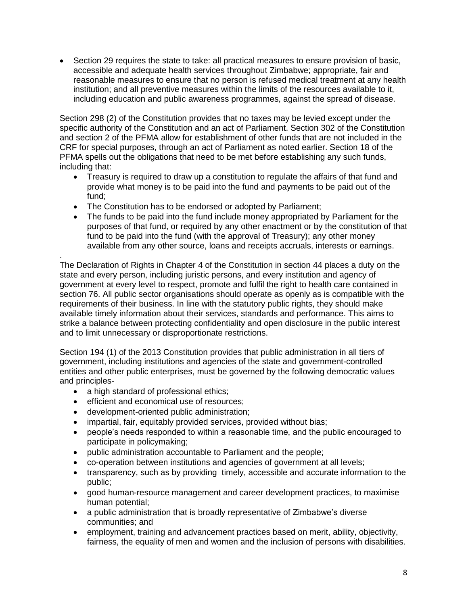Section 29 requires the state to take: all practical measures to ensure provision of basic, accessible and adequate health services throughout Zimbabwe; appropriate, fair and reasonable measures to ensure that no person is refused medical treatment at any health institution; and all preventive measures within the limits of the resources available to it, including education and public awareness programmes, against the spread of disease.

Section 298 (2) of the Constitution provides that no taxes may be levied except under the specific authority of the Constitution and an act of Parliament. Section 302 of the Constitution and section 2 of the PFMA allow for establishment of other funds that are not included in the CRF for special purposes, through an act of Parliament as noted earlier. Section 18 of the PFMA spells out the obligations that need to be met before establishing any such funds, including that:

- Treasury is required to draw up a constitution to regulate the affairs of that fund and provide what money is to be paid into the fund and payments to be paid out of the fund;
- The Constitution has to be endorsed or adopted by Parliament;
- The funds to be paid into the fund include money appropriated by Parliament for the purposes of that fund, or required by any other enactment or by the constitution of that fund to be paid into the fund (with the approval of Treasury); any other money available from any other source, loans and receipts accruals, interests or earnings.

. The Declaration of Rights in Chapter 4 of the Constitution in section 44 places a duty on the state and every person, including juristic persons, and every institution and agency of government at every level to respect, promote and fulfil the right to health care contained in section 76. All public sector organisations should operate as openly as is compatible with the requirements of their business. In line with the statutory public rights, they should make available timely information about their services, standards and performance. This aims to strike a balance between protecting confidentiality and open disclosure in the public interest and to limit unnecessary or disproportionate restrictions.

Section 194 (1) of the 2013 Constitution provides that public administration in all tiers of government, including institutions and agencies of the state and government-controlled entities and other public enterprises, must be governed by the following democratic values and principles-

- a high standard of professional ethics;
- efficient and economical use of resources;
- development-oriented public administration;
- impartial, fair, equitably provided services, provided without bias;
- people's needs responded to within a reasonable time, and the public encouraged to participate in policymaking;
- public administration accountable to Parliament and the people;
- co-operation between institutions and agencies of government at all levels;
- transparency, such as by providing timely, accessible and accurate information to the public;
- good human-resource management and career development practices, to maximise human potential;
- a public administration that is broadly representative of Zimbabwe's diverse communities; and
- employment, training and advancement practices based on merit, ability, objectivity, fairness, the equality of men and women and the inclusion of persons with disabilities.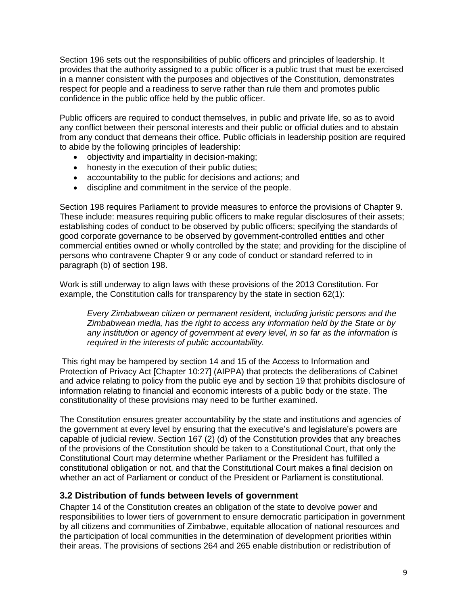Section 196 sets out the responsibilities of public officers and principles of leadership. It provides that the authority assigned to a public officer is a public trust that must be exercised in a manner consistent with the purposes and objectives of the Constitution, demonstrates respect for people and a readiness to serve rather than rule them and promotes public confidence in the public office held by the public officer.

Public officers are required to conduct themselves, in public and private life, so as to avoid any conflict between their personal interests and their public or official duties and to abstain from any conduct that demeans their office. Public officials in leadership position are required to abide by the following principles of leadership:

- objectivity and impartiality in decision-making;
- honesty in the execution of their public duties;
- accountability to the public for decisions and actions; and
- discipline and commitment in the service of the people.

Section 198 requires Parliament to provide measures to enforce the provisions of Chapter 9. These include: measures requiring public officers to make regular disclosures of their assets; establishing codes of conduct to be observed by public officers; specifying the standards of good corporate governance to be observed by government-controlled entities and other commercial entities owned or wholly controlled by the state; and providing for the discipline of persons who contravene Chapter 9 or any code of conduct or standard referred to in paragraph (b) of section 198.

Work is still underway to align laws with these provisions of the 2013 Constitution. For example, the Constitution calls for transparency by the state in section 62(1):

*Every Zimbabwean citizen or permanent resident, including juristic persons and the Zimbabwean media, has the right to access any information held by the State or by any institution or agency of government at every level, in so far as the information is required in the interests of public accountability.*

This right may be hampered by section 14 and 15 of the Access to Information and Protection of Privacy Act [Chapter 10:27] (AIPPA) that protects the deliberations of Cabinet and advice relating to policy from the public eye and by section 19 that prohibits disclosure of information relating to financial and economic interests of a public body or the state. The constitutionality of these provisions may need to be further examined.

The Constitution ensures greater accountability by the state and institutions and agencies of the government at every level by ensuring that the executive's and legislature's powers are capable of judicial review. Section 167 (2) (d) of the Constitution provides that any breaches of the provisions of the Constitution should be taken to a Constitutional Court, that only the Constitutional Court may determine whether Parliament or the President has fulfilled a constitutional obligation or not, and that the Constitutional Court makes a final decision on whether an act of Parliament or conduct of the President or Parliament is constitutional.

#### <span id="page-9-0"></span>**3.2 Distribution of funds between levels of government**

Chapter 14 of the Constitution creates an obligation of the state to devolve power and responsibilities to lower tiers of government to ensure democratic participation in government by all citizens and communities of Zimbabwe, equitable allocation of national resources and the participation of local communities in the determination of development priorities within their areas. The provisions of sections 264 and 265 enable distribution or redistribution of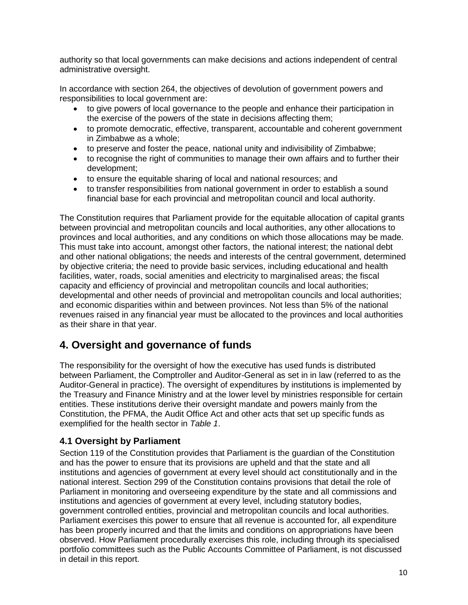authority so that local governments can make decisions and actions independent of central administrative oversight.

In accordance with section 264, the objectives of devolution of government powers and responsibilities to local government are:

- to give powers of local governance to the people and enhance their participation in the exercise of the powers of the state in decisions affecting them;
- to promote democratic, effective, transparent, accountable and coherent government in Zimbabwe as a whole;
- to preserve and foster the peace, national unity and indivisibility of Zimbabwe;
- to recognise the right of communities to manage their own affairs and to further their development;
- to ensure the equitable sharing of local and national resources; and
- to transfer responsibilities from national government in order to establish a sound financial base for each provincial and metropolitan council and local authority.

The Constitution requires that Parliament provide for the equitable allocation of capital grants between provincial and metropolitan councils and local authorities, any other allocations to provinces and local authorities, and any conditions on which those allocations may be made. This must take into account, amongst other factors, the national interest; the national debt and other national obligations; the needs and interests of the central government, determined by objective criteria; the need to provide basic services, including educational and health facilities, water, roads, social amenities and electricity to marginalised areas; the fiscal capacity and efficiency of provincial and metropolitan councils and local authorities; developmental and other needs of provincial and metropolitan councils and local authorities; and economic disparities within and between provinces. Not less than 5% of the national revenues raised in any financial year must be allocated to the provinces and local authorities as their share in that year.

## <span id="page-10-0"></span>**4. Oversight and governance of funds**

The responsibility for the oversight of how the executive has used funds is distributed between Parliament, the Comptroller and Auditor-General as set in in law (referred to as the Auditor-General in practice). The oversight of expenditures by institutions is implemented by the Treasury and Finance Ministry and at the lower level by ministries responsible for certain entities. These institutions derive their oversight mandate and powers mainly from the Constitution, the PFMA, the Audit Office Act and other acts that set up specific funds as exemplified for the health sector in *Table 1*.

#### <span id="page-10-1"></span>**4.1 Oversight by Parliament**

Section 119 of the Constitution provides that Parliament is the guardian of the Constitution and has the power to ensure that its provisions are upheld and that the state and all institutions and agencies of government at every level should act constitutionally and in the national interest. Section 299 of the Constitution contains provisions that detail the role of Parliament in monitoring and overseeing expenditure by the state and all commissions and institutions and agencies of government at every level, including statutory bodies, government controlled entities, provincial and metropolitan councils and local authorities. Parliament exercises this power to ensure that all revenue is accounted for, all expenditure has been properly incurred and that the limits and conditions on appropriations have been observed. How Parliament procedurally exercises this role, including through its specialised portfolio committees such as the Public Accounts Committee of Parliament, is not discussed in detail in this report.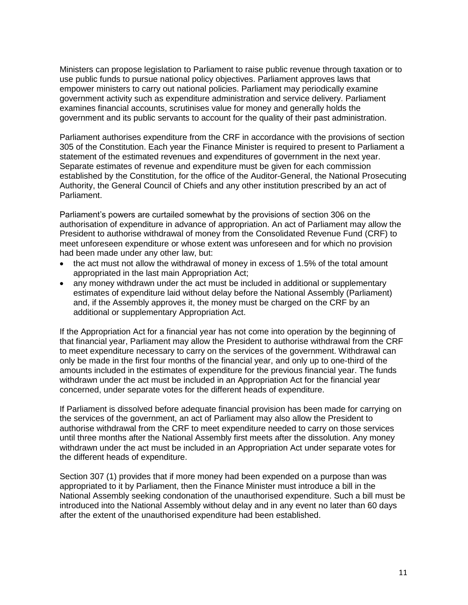Ministers can propose legislation to Parliament to raise public revenue through taxation or to use public funds to pursue national policy objectives. Parliament approves laws that empower ministers to carry out national policies. Parliament may periodically examine government activity such as expenditure administration and service delivery. Parliament examines financial accounts, scrutinises value for money and generally holds the government and its public servants to account for the quality of their past administration.

Parliament authorises expenditure from the CRF in accordance with the provisions of section 305 of the Constitution. Each year the Finance Minister is required to present to Parliament a statement of the estimated revenues and expenditures of government in the next year. Separate estimates of revenue and expenditure must be given for each commission established by the Constitution, for the office of the Auditor-General, the National Prosecuting Authority, the General Council of Chiefs and any other institution prescribed by an act of Parliament.

Parliament's powers are curtailed somewhat by the provisions of section 306 on the authorisation of expenditure in advance of appropriation. An act of Parliament may allow the President to authorise withdrawal of money from the Consolidated Revenue Fund (CRF) to meet unforeseen expenditure or whose extent was unforeseen and for which no provision had been made under any other law, but:

- the act must not allow the withdrawal of money in excess of 1.5% of the total amount appropriated in the last main Appropriation Act;
- any money withdrawn under the act must be included in additional or supplementary estimates of expenditure laid without delay before the National Assembly (Parliament) and, if the Assembly approves it, the money must be charged on the CRF by an additional or supplementary Appropriation Act.

If the Appropriation Act for a financial year has not come into operation by the beginning of that financial year, Parliament may allow the President to authorise withdrawal from the CRF to meet expenditure necessary to carry on the services of the government. Withdrawal can only be made in the first four months of the financial year, and only up to one-third of the amounts included in the estimates of expenditure for the previous financial year. The funds withdrawn under the act must be included in an Appropriation Act for the financial year concerned, under separate votes for the different heads of expenditure.

If Parliament is dissolved before adequate financial provision has been made for carrying on the services of the government, an act of Parliament may also allow the President to authorise withdrawal from the CRF to meet expenditure needed to carry on those services until three months after the National Assembly first meets after the dissolution. Any money withdrawn under the act must be included in an Appropriation Act under separate votes for the different heads of expenditure.

Section 307 (1) provides that if more money had been expended on a purpose than was appropriated to it by Parliament, then the Finance Minister must introduce a bill in the National Assembly seeking condonation of the unauthorised expenditure. Such a bill must be introduced into the National Assembly without delay and in any event no later than 60 days after the extent of the unauthorised expenditure had been established.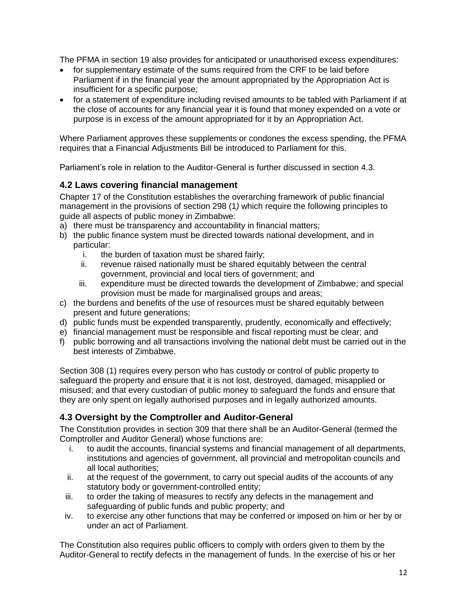The PFMA in section 19 also provides for anticipated or unauthorised excess expenditures:

- for supplementary estimate of the sums required from the CRF to be laid before Parliament if in the financial year the amount appropriated by the Appropriation Act is insufficient for a specific purpose;
- for a statement of expenditure including revised amounts to be tabled with Parliament if at the close of accounts for any financial year it is found that money expended on a vote or purpose is in excess of the amount appropriated for it by an Appropriation Act.

Where Parliament approves these supplements or condones the excess spending, the PFMA requires that a Financial Adjustments Bill be introduced to Parliament for this.

Parliament's role in relation to the Auditor-General is further discussed in section 4.3.

#### <span id="page-12-0"></span>**4.2 Laws covering financial management**

Chapter 17 of the Constitution establishes the overarching framework of public financial management in the provisions of section 298 (1*)* which require the following principles to guide all aspects of public money in Zimbabwe:

- a) there must be transparency and accountability in financial matters;
- b) the public finance system must be directed towards national development, and in particular:
	- i. the burden of taxation must be shared fairly;
	- ii. revenue raised nationally must be shared equitably between the central government, provincial and local tiers of government; and
	- iii. expenditure must be directed towards the development of Zimbabwe; and special provision must be made for marginalised groups and areas;
- c) the burdens and benefits of the use of resources must be shared equitably between present and future generations;
- d) public funds must be expended transparently, prudently, economically and effectively;
- e) financial management must be responsible and fiscal reporting must be clear; and
- f) public borrowing and all transactions involving the national debt must be carried out in the best interests of Zimbabwe.

Section 308 (1) requires every person who has custody or control of public property to safeguard the property and ensure that it is not lost, destroyed, damaged, misapplied or misused; and that every custodian of public money to safeguard the funds and ensure that they are only spent on legally authorised purposes and in legally authorized amounts.

#### <span id="page-12-1"></span>**4.3 Oversight by the Comptroller and Auditor-General**

The Constitution provides in section 309 that there shall be an Auditor-General (termed the Comptroller and Auditor General) whose functions are:

- i. to audit the accounts, financial systems and financial management of all departments, institutions and agencies of government, all provincial and metropolitan councils and all local authorities;
- ii. at the request of the government, to carry out special audits of the accounts of any statutory body or government-controlled entity;
- iii. to order the taking of measures to rectify any defects in the management and safeguarding of public funds and public property; and
- iv. to exercise any other functions that may be conferred or imposed on him or her by or under an act of Parliament.

The Constitution also requires public officers to comply with orders given to them by the Auditor-General to rectify defects in the management of funds. In the exercise of his or her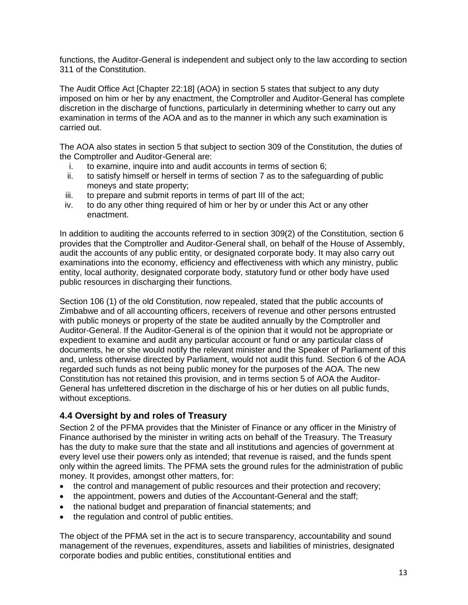functions, the Auditor-General is independent and subject only to the law according to section 311 of the Constitution.

The Audit Office Act [Chapter 22:18] (AOA) in section 5 states that subject to any duty imposed on him or her by any enactment, the Comptroller and Auditor-General has complete discretion in the discharge of functions, particularly in determining whether to carry out any examination in terms of the AOA and as to the manner in which any such examination is carried out.

The AOA also states in section 5 that subject to section 309 of the Constitution, the duties of the Comptroller and Auditor-General are:

- i. to examine, inquire into and audit accounts in terms of section 6;
- ii. to satisfy himself or herself in terms of section 7 as to the safeguarding of public moneys and state property;
- iii. to prepare and submit reports in terms of part III of the act;
- iv. to do any other thing required of him or her by or under this Act or any other enactment.

In addition to auditing the accounts referred to in section 309(2) of the Constitution, section 6 provides that the Comptroller and Auditor-General shall, on behalf of the House of Assembly, audit the accounts of any public entity, or designated corporate body. It may also carry out examinations into the economy, efficiency and effectiveness with which any ministry, public entity, local authority, designated corporate body, statutory fund or other body have used public resources in discharging their functions.

Section 106 (1) of the old Constitution, now repealed, stated that the public accounts of Zimbabwe and of all accounting officers, receivers of revenue and other persons entrusted with public moneys or property of the state be audited annually by the Comptroller and Auditor-General. If the Auditor-General is of the opinion that it would not be appropriate or expedient to examine and audit any particular account or fund or any particular class of documents, he or she would notify the relevant minister and the Speaker of Parliament of this and, unless otherwise directed by Parliament, would not audit this fund. Section 6 of the AOA regarded such funds as not being public money for the purposes of the AOA. The new Constitution has not retained this provision, and in terms section 5 of AOA the Auditor-General has unfettered discretion in the discharge of his or her duties on all public funds, without exceptions.

#### <span id="page-13-0"></span>**4.4 Oversight by and roles of Treasury**

Section 2 of the PFMA provides that the Minister of Finance or any officer in the Ministry of Finance authorised by the minister in writing acts on behalf of the Treasury. The Treasury has the duty to make sure that the state and all institutions and agencies of government at every level use their powers only as intended; that revenue is raised, and the funds spent only within the agreed limits. The PFMA sets the ground rules for the administration of public money. It provides, amongst other matters, for:

- the control and management of public resources and their protection and recovery;
- the appointment, powers and duties of the Accountant-General and the staff;
- the national budget and preparation of financial statements; and
- the regulation and control of public entities.

The object of the PFMA set in the act is to secure transparency, accountability and sound management of the revenues, expenditures, assets and liabilities of ministries, designated corporate bodies and public entities, constitutional entities and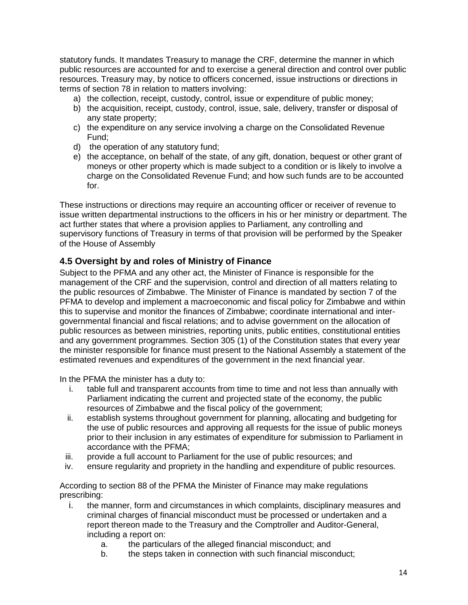statutory funds. It mandates Treasury to manage the CRF, determine the manner in which public resources are accounted for and to exercise a general direction and control over public resources. Treasury may, by notice to officers concerned, issue instructions or directions in terms of section 78 in relation to matters involving:

- a) the collection, receipt, custody, control, issue or expenditure of public money;
- b) the acquisition, receipt, custody, control, issue, sale, delivery, transfer or disposal of any state property;
- c) the expenditure on any service involving a charge on the Consolidated Revenue Fund;
- d) the operation of any statutory fund;
- e) the acceptance, on behalf of the state, of any gift, donation, bequest or other grant of moneys or other property which is made subject to a condition or is likely to involve a charge on the Consolidated Revenue Fund; and how such funds are to be accounted for.

These instructions or directions may require an accounting officer or receiver of revenue to issue written departmental instructions to the officers in his or her ministry or department. The act further states that where a provision applies to Parliament, any controlling and supervisory functions of Treasury in terms of that provision will be performed by the Speaker of the House of Assembly

#### <span id="page-14-0"></span>**4.5 Oversight by and roles of Ministry of Finance**

Subject to the PFMA and any other act, the Minister of Finance is responsible for the management of the CRF and the supervision, control and direction of all matters relating to the public resources of Zimbabwe. The Minister of Finance is mandated by section 7 of the PFMA to develop and implement a macroeconomic and fiscal policy for Zimbabwe and within this to supervise and monitor the finances of Zimbabwe; coordinate international and intergovernmental financial and fiscal relations; and to advise government on the allocation of public resources as between ministries, reporting units, public entities, constitutional entities and any government programmes. Section 305 (1) of the Constitution states that every year the minister responsible for finance must present to the National Assembly a statement of the estimated revenues and expenditures of the government in the next financial year.

In the PFMA the minister has a duty to:

- i. table full and transparent accounts from time to time and not less than annually with Parliament indicating the current and projected state of the economy, the public resources of Zimbabwe and the fiscal policy of the government;
- ii. establish systems throughout government for planning, allocating and budgeting for the use of public resources and approving all requests for the issue of public moneys prior to their inclusion in any estimates of expenditure for submission to Parliament in accordance with the PFMA;
- iii. provide a full account to Parliament for the use of public resources; and
- iv. ensure regularity and propriety in the handling and expenditure of public resources.

According to s*e*ction 88 of the PFMA the Minister of Finance may make regulations prescribing:

- i. the manner, form and circumstances in which complaints, disciplinary measures and criminal charges of financial misconduct must be processed or undertaken and a report thereon made to the Treasury and the Comptroller and Auditor-General, including a report on:
	- a. the particulars of the alleged financial misconduct; and
	- b. the steps taken in connection with such financial misconduct;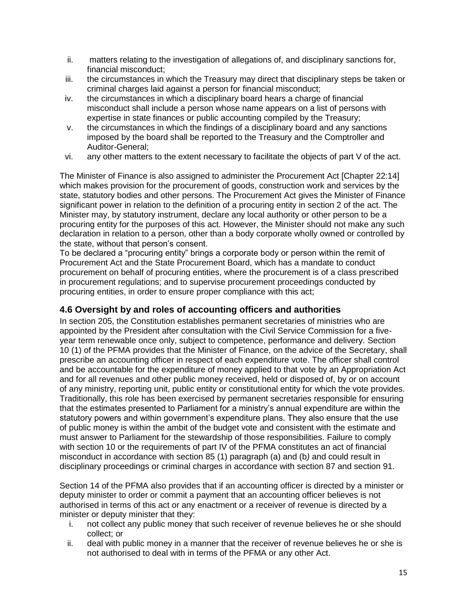- ii. matters relating to the investigation of allegations of, and disciplinary sanctions for, financial misconduct;
- iii. the circumstances in which the Treasury may direct that disciplinary steps be taken or criminal charges laid against a person for financial misconduct;
- iv. the circumstances in which a disciplinary board hears a charge of financial misconduct shall include a person whose name appears on a list of persons with expertise in state finances or public accounting compiled by the Treasury;
- v. the circumstances in which the findings of a disciplinary board and any sanctions imposed by the board shall be reported to the Treasury and the Comptroller and Auditor-General;
- vi. any other matters to the extent necessary to facilitate the objects of part V of the act.

<span id="page-15-0"></span>The Minister of Finance is also assigned to administer the Procurement Act [Chapter 22:14] which makes provision for the procurement of goods, construction work and services by the state, statutory bodies and other persons. The Procurement Act gives the Minister of Finance significant power in relation to the definition of a procuring entity in section 2 of the act. The Minister may, by statutory instrument, declare any local authority or other person to be a procuring entity for the purposes of this act. However, the Minister should not make any such declaration in relation to a person, other than a body corporate wholly owned or controlled by the state, without that person's consent.

To be declared a "procuring entity" brings a corporate body or person within the remit of Procurement Act and the State Procurement Board, which has a mandate to conduct procurement on behalf of procuring entities, where the procurement is of a class prescribed in procurement regulations; and to supervise procurement proceedings conducted by procuring entities, in order to ensure proper compliance with this act;

#### **4.6 Oversight by and roles of accounting officers and authorities**

In section 205, the Constitution establishes permanent secretaries of ministries who are appointed by the President after consultation with the Civil Service Commission for a fiveyear term renewable once only, subject to competence, performance and delivery. Section 10 (1) of the PFMA provides that the Minister of Finance, on the advice of the Secretary, shall prescribe an accounting officer in respect of each expenditure vote. The officer shall control and be accountable for the expenditure of money applied to that vote by an Appropriation Act and for all revenues and other public money received, held or disposed of, by or on account of any ministry, reporting unit, public entity or constitutional entity for which the vote provides. Traditionally, this role has been exercised by permanent secretaries responsible for ensuring that the estimates presented to Parliament for a ministry's annual expenditure are within the statutory powers and within government's expenditure plans. They also ensure that the use of public money is within the ambit of the budget vote and consistent with the estimate and must answer to Parliament for the stewardship of those responsibilities. Failure to comply with section 10 or the requirements of part IV of the PFMA constitutes an act of financial misconduct in accordance with section 85 (1) paragraph (a) and (b*)* and could result in disciplinary proceedings or criminal charges in accordance with section 87 and section 91.

Section 14 of the PFMA also provides that if an accounting officer is directed by a minister or deputy minister to order or commit a payment that an accounting officer believes is not authorised in terms of this act or any enactment or a receiver of revenue is directed by a minister or deputy minister that they:

- i. not collect any public money that such receiver of revenue believes he or she should collect; or
- ii. deal with public money in a manner that the receiver of revenue believes he or she is not authorised to deal with in terms of the PFMA or any other Act.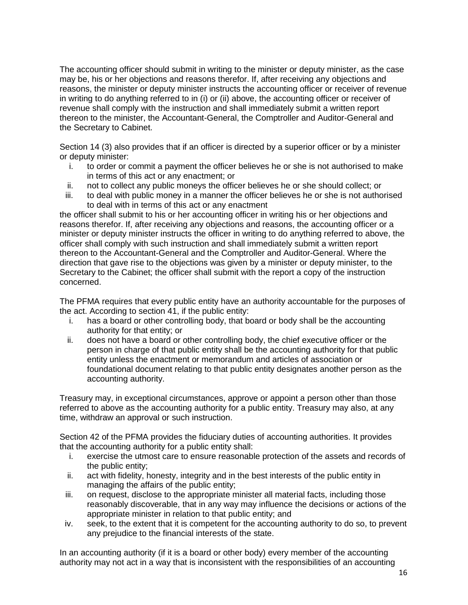The accounting officer should submit in writing to the minister or deputy minister, as the case may be, his or her objections and reasons therefor. If, after receiving any objections and reasons, the minister or deputy minister instructs the accounting officer or receiver of revenue in writing to do anything referred to in (i) or (ii) above, the accounting officer or receiver of revenue shall comply with the instruction and shall immediately submit a written report thereon to the minister, the Accountant-General, the Comptroller and Auditor-General and the Secretary to Cabinet.

Section 14 (3) also provides that if an officer is directed by a superior officer or by a minister or deputy minister:

- i. to order or commit a payment the officer believes he or she is not authorised to make in terms of this act or any enactment; or
- ii. not to collect any public moneys the officer believes he or she should collect; or
- iii. to deal with public money in a manner the officer believes he or she is not authorised to deal with in terms of this act or any enactment

the officer shall submit to his or her accounting officer in writing his or her objections and reasons therefor. If, after receiving any objections and reasons, the accounting officer or a minister or deputy minister instructs the officer in writing to do anything referred to above, the officer shall comply with such instruction and shall immediately submit a written report thereon to the Accountant-General and the Comptroller and Auditor-General. Where the direction that gave rise to the objections was given by a minister or deputy minister, to the Secretary to the Cabinet; the officer shall submit with the report a copy of the instruction concerned.

The PFMA requires that every public entity have an authority accountable for the purposes of the act. According to section 41, if the public entity:

- i. has a board or other controlling body, that board or body shall be the accounting authority for that entity; or
- ii. does not have a board or other controlling body, the chief executive officer or the person in charge of that public entity shall be the accounting authority for that public entity unless the enactment or memorandum and articles of association or foundational document relating to that public entity designates another person as the accounting authority.

Treasury may, in exceptional circumstances, approve or appoint a person other than those referred to above as the accounting authority for a public entity. Treasury may also, at any time, withdraw an approval or such instruction.

Section 42 of the PFMA provides the fiduciary duties of accounting authorities. It provides that the accounting authority for a public entity shall:

- i. exercise the utmost care to ensure reasonable protection of the assets and records of the public entity;
- ii. act with fidelity, honesty, integrity and in the best interests of the public entity in managing the affairs of the public entity;
- iii. on request, disclose to the appropriate minister all material facts, including those reasonably discoverable, that in any way may influence the decisions or actions of the appropriate minister in relation to that public entity; and
- iv. seek, to the extent that it is competent for the accounting authority to do so, to prevent any prejudice to the financial interests of the state.

In an accounting authority (if it is a board or other body) every member of the accounting authority may not act in a way that is inconsistent with the responsibilities of an accounting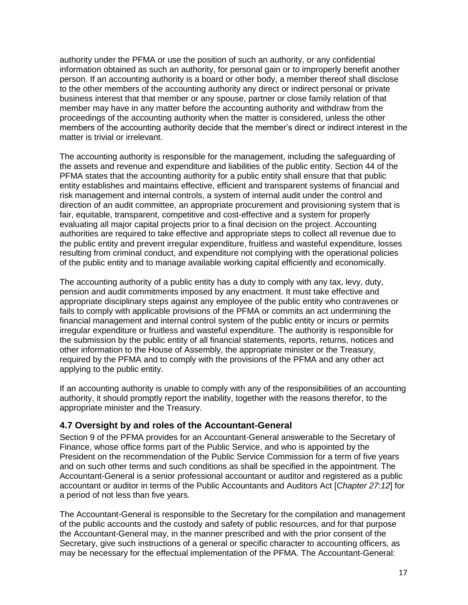authority under the PFMA or use the position of such an authority, or any confidential information obtained as such an authority, for personal gain or to improperly benefit another person. If an accounting authority is a board or other body, a member thereof shall disclose to the other members of the accounting authority any direct or indirect personal or private business interest that that member or any spouse, partner or close family relation of that member may have in any matter before the accounting authority and withdraw from the proceedings of the accounting authority when the matter is considered, unless the other members of the accounting authority decide that the member's direct or indirect interest in the matter is trivial or irrelevant.

The accounting authority is responsible for the management, including the safeguarding of the assets and revenue and expenditure and liabilities of the public entity. Section 44 of the PFMA states that the accounting authority for a public entity shall ensure that that public entity establishes and maintains effective, efficient and transparent systems of financial and risk management and internal controls, a system of internal audit under the control and direction of an audit committee, an appropriate procurement and provisioning system that is fair, equitable, transparent, competitive and cost-effective and a system for properly evaluating all major capital projects prior to a final decision on the project. Accounting authorities are required to take effective and appropriate steps to collect all revenue due to the public entity and prevent irregular expenditure, fruitless and wasteful expenditure, losses resulting from criminal conduct, and expenditure not complying with the operational policies of the public entity and to manage available working capital efficiently and economically.

The accounting authority of a public entity has a duty to comply with any tax, levy, duty, pension and audit commitments imposed by any enactment. It must take effective and appropriate disciplinary steps against any employee of the public entity who contravenes or fails to comply with applicable provisions of the PFMA or commits an act undermining the financial management and internal control system of the public entity or incurs or permits irregular expenditure or fruitless and wasteful expenditure. The authority is responsible for the submission by the public entity of all financial statements, reports, returns, notices and other information to the House of Assembly, the appropriate minister or the Treasury, required by the PFMA and to comply with the provisions of the PFMA and any other act applying to the public entity.

If an accounting authority is unable to comply with any of the responsibilities of an accounting authority, it should promptly report the inability, together with the reasons therefor, to the appropriate minister and the Treasury.

#### <span id="page-17-0"></span>**4.7 Oversight by and roles of the Accountant-General**

Section 9 of the PFMA provides for an Accountant-General answerable to the Secretary of Finance, whose office forms part of the Public Service, and who is appointed by the President on the recommendation of the Public Service Commission for a term of five years and on such other terms and such conditions as shall be specified in the appointment. The Accountant-General is a senior professional accountant or auditor and registered as a public accountant or auditor in terms of the Public Accountants and Auditors Act [*Chapter 27:12*] for a period of not less than five years.

The Accountant-General is responsible to the Secretary for the compilation and management of the public accounts and the custody and safety of public resources, and for that purpose the Accountant-General may, in the manner prescribed and with the prior consent of the Secretary, give such instructions of a general or specific character to accounting officers, as may be necessary for the effectual implementation of the PFMA. The Accountant-General: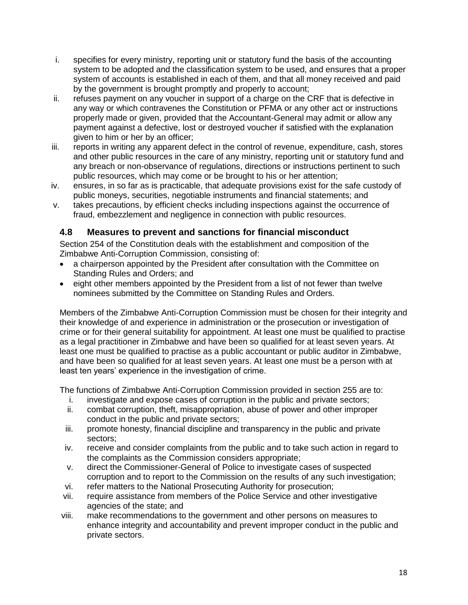- i. specifies for every ministry, reporting unit or statutory fund the basis of the accounting system to be adopted and the classification system to be used, and ensures that a proper system of accounts is established in each of them, and that all money received and paid by the government is brought promptly and properly to account;
- ii. refuses payment on any voucher in support of a charge on the CRF that is defective in any way or which contravenes the Constitution or PFMA or any other act or instructions properly made or given, provided that the Accountant-General may admit or allow any payment against a defective, lost or destroyed voucher if satisfied with the explanation given to him or her by an officer;
- iii. reports in writing any apparent defect in the control of revenue, expenditure, cash, stores and other public resources in the care of any ministry, reporting unit or statutory fund and any breach or non-observance of regulations, directions or instructions pertinent to such public resources, which may come or be brought to his or her attention;
- iv. ensures, in so far as is practicable, that adequate provisions exist for the safe custody of public moneys, securities, negotiable instruments and financial statements; and
- v. takes precautions, by efficient checks including inspections against the occurrence of fraud, embezzlement and negligence in connection with public resources.

#### <span id="page-18-0"></span>**4.8 Measures to prevent and sanctions for financial misconduct**

Section 254 of the Constitution deals with the establishment and composition of the Zimbabwe Anti-Corruption Commission, consisting of:

- a chairperson appointed by the President after consultation with the Committee on Standing Rules and Orders; and
- eight other members appointed by the President from a list of not fewer than twelve nominees submitted by the Committee on Standing Rules and Orders.

Members of the Zimbabwe Anti-Corruption Commission must be chosen for their integrity and their knowledge of and experience in administration or the prosecution or investigation of crime or for their general suitability for appointment. At least one must be qualified to practise as a legal practitioner in Zimbabwe and have been so qualified for at least seven years. At least one must be qualified to practise as a public accountant or public auditor in Zimbabwe, and have been so qualified for at least seven years. At least one must be a person with at least ten years' experience in the investigation of crime.

The functions of Zimbabwe Anti-Corruption Commission provided in section 255 are to:

- i. investigate and expose cases of corruption in the public and private sectors;
- ii. combat corruption, theft, misappropriation, abuse of power and other improper conduct in the public and private sectors;
- iii. promote honesty, financial discipline and transparency in the public and private sectors;
- iv. receive and consider complaints from the public and to take such action in regard to the complaints as the Commission considers appropriate;
- v. direct the Commissioner-General of Police to investigate cases of suspected corruption and to report to the Commission on the results of any such investigation;
- vi. refer matters to the National Prosecuting Authority for prosecution;
- vii. require assistance from members of the Police Service and other investigative agencies of the state; and
- viii. make recommendations to the government and other persons on measures to enhance integrity and accountability and prevent improper conduct in the public and private sectors.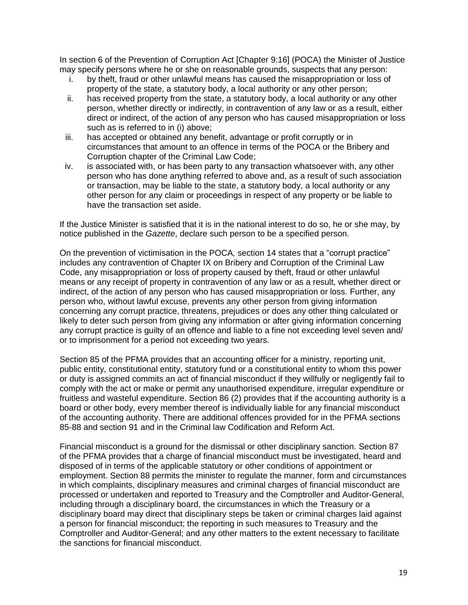In section 6 of the Prevention of Corruption Act [Chapter 9:16] (POCA) the Minister of Justice may specify persons where he or she on reasonable grounds, suspects that any person:

- i. by theft, fraud or other unlawful means has caused the misappropriation or loss of property of the state, a statutory body, a local authority or any other person;
- ii. has received property from the state, a statutory body, a local authority or any other person, whether directly or indirectly, in contravention of any law or as a result, either direct or indirect, of the action of any person who has caused misappropriation or loss such as is referred to in (i) above;
- iii. has accepted or obtained any benefit, advantage or profit corruptly or in circumstances that amount to an offence in terms of the POCA or the Bribery and Corruption chapter of the Criminal Law Code;
- iv. is associated with, or has been party to any transaction whatsoever with, any other person who has done anything referred to above and, as a result of such association or transaction, may be liable to the state, a statutory body, a local authority or any other person for any claim or proceedings in respect of any property or be liable to have the transaction set aside.

If the Justice Minister is satisfied that it is in the national interest to do so, he or she may, by notice published in the *Gazette*, declare such person to be a specified person.

On the prevention of victimisation in the POCA*,* section 14 states that a "corrupt practice" includes any contravention of Chapter IX on Bribery and Corruption of the Criminal Law Code, any misappropriation or loss of property caused by theft, fraud or other unlawful means or any receipt of property in contravention of any law or as a result, whether direct or indirect, of the action of any person who has caused misappropriation or loss. Further, any person who, without lawful excuse, prevents any other person from giving information concerning any corrupt practice, threatens, prejudices or does any other thing calculated or likely to deter such person from giving any information or after giving information concerning any corrupt practice is guilty of an offence and liable to a fine not exceeding level seven and/ or to imprisonment for a period not exceeding two years.

Section 85 of the PFMA provides that an accounting officer for a ministry, reporting unit, public entity, constitutional entity, statutory fund or a constitutional entity to whom this power or duty is assigned commits an act of financial misconduct if they willfully or negligently fail to comply with the act or make or permit any unauthorised expenditure, irregular expenditure or fruitless and wasteful expenditure. Section 86 (2) provides that if the accounting authority is a board or other body, every member thereof is individually liable for any financial misconduct of the accounting authority. There are additional offences provided for in the PFMA sections 85-88 and section 91 and in the Criminal law Codification and Reform Act.

Financial misconduct is a ground for the dismissal or other disciplinary sanction. Section 87 of the PFMA provides that a charge of financial misconduct must be investigated, heard and disposed of in terms of the applicable statutory or other conditions of appointment or employment. Section 88 permits the minister to regulate the manner, form and circumstances in which complaints, disciplinary measures and criminal charges of financial misconduct are processed or undertaken and reported to Treasury and the Comptroller and Auditor-General, including through a disciplinary board, the circumstances in which the Treasury or a disciplinary board may direct that disciplinary steps be taken or criminal charges laid against a person for financial misconduct; the reporting in such measures to Treasury and the Comptroller and Auditor-General; and any other matters to the extent necessary to facilitate the sanctions for financial misconduct.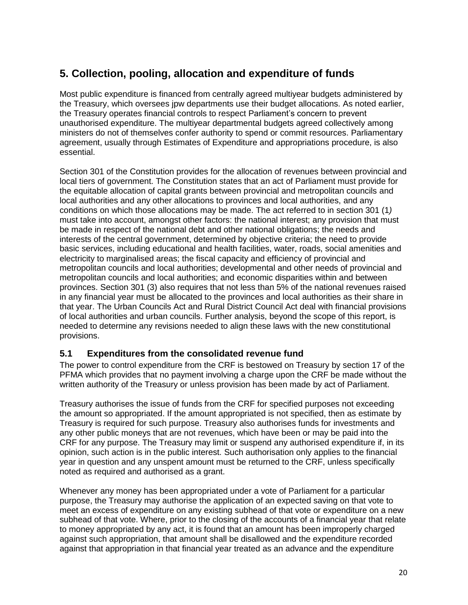## <span id="page-20-0"></span>**5. Collection, pooling, allocation and expenditure of funds**

Most public expenditure is financed from centrally agreed multiyear budgets administered by the Treasury, which oversees jpw departments use their budget allocations. As noted earlier, the Treasury operates financial controls to respect Parliament's concern to prevent unauthorised expenditure. The multiyear departmental budgets agreed collectively among ministers do not of themselves confer authority to spend or commit resources. Parliamentary agreement, usually through Estimates of Expenditure and appropriations procedure, is also essential.

Section 301 of the Constitution provides for the allocation of revenues between provincial and local tiers of government. The Constitution states that an act of Parliament must provide for the equitable allocation of capital grants between provincial and metropolitan councils and local authorities and any other allocations to provinces and local authorities, and any conditions on which those allocations may be made. The act referred to in section 301 (1*)*  must take into account, amongst other factors: the national interest; any provision that must be made in respect of the national debt and other national obligations; the needs and interests of the central government, determined by objective criteria; the need to provide basic services, including educational and health facilities, water, roads, social amenities and electricity to marginalised areas; the fiscal capacity and efficiency of provincial and metropolitan councils and local authorities; developmental and other needs of provincial and metropolitan councils and local authorities; and economic disparities within and between provinces. Section 301 (3) also requires that not less than 5% of the national revenues raised in any financial year must be allocated to the provinces and local authorities as their share in that year. The Urban Councils Act and Rural District Council Act deal with financial provisions of local authorities and urban councils. Further analysis, beyond the scope of this report, is needed to determine any revisions needed to align these laws with the new constitutional provisions.

#### <span id="page-20-1"></span>**5.1 Expenditures from the consolidated revenue fund**

The power to control expenditure from the CRF is bestowed on Treasury by section 17 of the PFMA which provides that no payment involving a charge upon the CRF be made without the written authority of the Treasury or unless provision has been made by act of Parliament.

Treasury authorises the issue of funds from the CRF for specified purposes not exceeding the amount so appropriated. If the amount appropriated is not specified, then as estimate by Treasury is required for such purpose. Treasury also authorises funds for investments and any other public moneys that are not revenues, which have been or may be paid into the CRF for any purpose. The Treasury may limit or suspend any authorised expenditure if, in its opinion, such action is in the public interest. Such authorisation only applies to the financial year in question and any unspent amount must be returned to the CRF, unless specifically noted as required and authorised as a grant.

Whenever any money has been appropriated under a vote of Parliament for a particular purpose, the Treasury may authorise the application of an expected saving on that vote to meet an excess of expenditure on any existing subhead of that vote or expenditure on a new subhead of that vote. Where, prior to the closing of the accounts of a financial year that relate to money appropriated by any act, it is found that an amount has been improperly charged against such appropriation, that amount shall be disallowed and the expenditure recorded against that appropriation in that financial year treated as an advance and the expenditure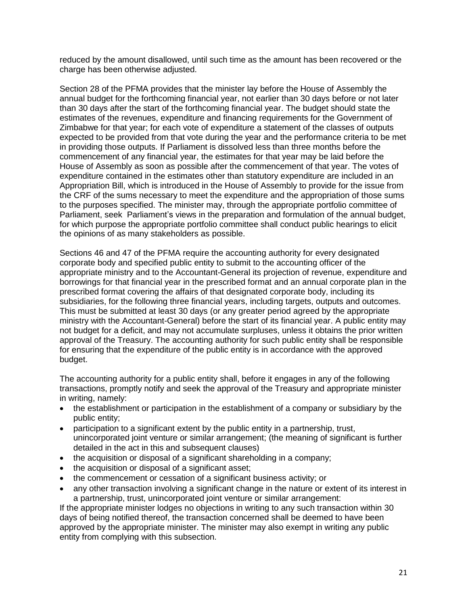reduced by the amount disallowed, until such time as the amount has been recovered or the charge has been otherwise adjusted.

Section 28 of the PFMA provides that the minister lay before the House of Assembly the annual budget for the forthcoming financial year, not earlier than 30 days before or not later than 30 days after the start of the forthcoming financial year. The budget should state the estimates of the revenues, expenditure and financing requirements for the Government of Zimbabwe for that year; for each vote of expenditure a statement of the classes of outputs expected to be provided from that vote during the year and the performance criteria to be met in providing those outputs. If Parliament is dissolved less than three months before the commencement of any financial year, the estimates for that year may be laid before the House of Assembly as soon as possible after the commencement of that year. The votes of expenditure contained in the estimates other than statutory expenditure are included in an Appropriation Bill, which is introduced in the House of Assembly to provide for the issue from the CRF of the sums necessary to meet the expenditure and the appropriation of those sums to the purposes specified. The minister may, through the appropriate portfolio committee of Parliament, seek Parliament's views in the preparation and formulation of the annual budget, for which purpose the appropriate portfolio committee shall conduct public hearings to elicit the opinions of as many stakeholders as possible.

Sections 46 and 47 of the PFMA require the accounting authority for every designated corporate body and specified public entity to submit to the accounting officer of the appropriate ministry and to the Accountant-General its projection of revenue, expenditure and borrowings for that financial year in the prescribed format and an annual corporate plan in the prescribed format covering the affairs of that designated corporate body, including its subsidiaries, for the following three financial years, including targets, outputs and outcomes. This must be submitted at least 30 days (or any greater period agreed by the appropriate ministry with the Accountant-General) before the start of its financial year. A public entity may not budget for a deficit, and may not accumulate surpluses, unless it obtains the prior written approval of the Treasury. The accounting authority for such public entity shall be responsible for ensuring that the expenditure of the public entity is in accordance with the approved budget.

The accounting authority for a public entity shall, before it engages in any of the following transactions, promptly notify and seek the approval of the Treasury and appropriate minister in writing, namely:

- the establishment or participation in the establishment of a company or subsidiary by the public entity;
- participation to a significant extent by the public entity in a partnership, trust, unincorporated joint venture or similar arrangement; (the meaning of significant is further detailed in the act in this and subsequent clauses)
- the acquisition or disposal of a significant shareholding in a company;
- the acquisition or disposal of a significant asset;
- the commencement or cessation of a significant business activity; or
- any other transaction involving a significant change in the nature or extent of its interest in a partnership, trust, unincorporated joint venture or similar arrangement:

If the appropriate minister lodges no objections in writing to any such transaction within 30 days of being notified thereof, the transaction concerned shall be deemed to have been approved by the appropriate minister. The minister may also exempt in writing any public entity from complying with this subsection.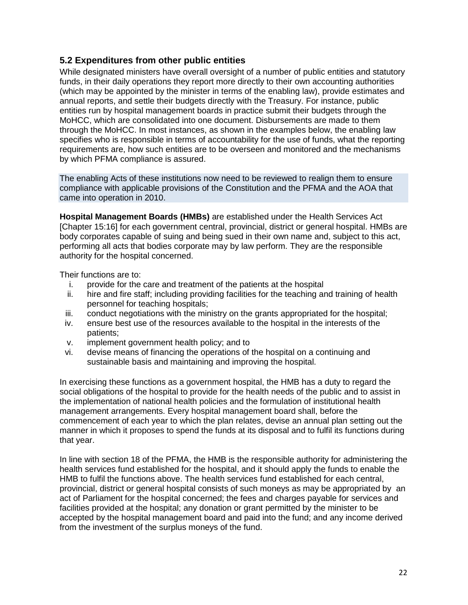#### <span id="page-22-0"></span>**5.2 Expenditures from other public entities**

While designated ministers have overall oversight of a number of public entities and statutory funds, in their daily operations they report more directly to their own accounting authorities (which may be appointed by the minister in terms of the enabling law), provide estimates and annual reports, and settle their budgets directly with the Treasury. For instance, public entities run by hospital management boards in practice submit their budgets through the MoHCC, which are consolidated into one document. Disbursements are made to them through the MoHCC. In most instances, as shown in the examples below, the enabling law specifies who is responsible in terms of accountability for the use of funds, what the reporting requirements are, how such entities are to be overseen and monitored and the mechanisms by which PFMA compliance is assured.

The enabling Acts of these institutions now need to be reviewed to realign them to ensure compliance with applicable provisions of the Constitution and the PFMA and the AOA that came into operation in 2010.

**Hospital Management Boards (HMBs)** are established under the Health Services Act [Chapter 15:16] for each government central, provincial, district or general hospital. HMBs are body corporates capable of suing and being sued in their own name and, subject to this act, performing all acts that bodies corporate may by law perform. They are the responsible authority for the hospital concerned.

Their functions are to:

- i. provide for the care and treatment of the patients at the hospital
- ii. hire and fire staff; including providing facilities for the teaching and training of health personnel for teaching hospitals;
- iii. conduct negotiations with the ministry on the grants appropriated for the hospital;
- iv. ensure best use of the resources available to the hospital in the interests of the patients;
- v. implement government health policy; and to
- vi. devise means of financing the operations of the hospital on a continuing and sustainable basis and maintaining and improving the hospital.

In exercising these functions as a government hospital, the HMB has a duty to regard the social obligations of the hospital to provide for the health needs of the public and to assist in the implementation of national health policies and the formulation of institutional health management arrangements. Every hospital management board shall, before the commencement of each year to which the plan relates, devise an annual plan setting out the manner in which it proposes to spend the funds at its disposal and to fulfil its functions during that year.

In line with section 18 of the PFMA, the HMB is the responsible authority for administering the health services fund established for the hospital, and it should apply the funds to enable the HMB to fulfil the functions above. The health services fund established for each central, provincial, district or general hospital consists of such moneys as may be appropriated by an act of Parliament for the hospital concerned; the fees and charges payable for services and facilities provided at the hospital; any donation or grant permitted by the minister to be accepted by the hospital management board and paid into the fund; and any income derived from the investment of the surplus moneys of the fund.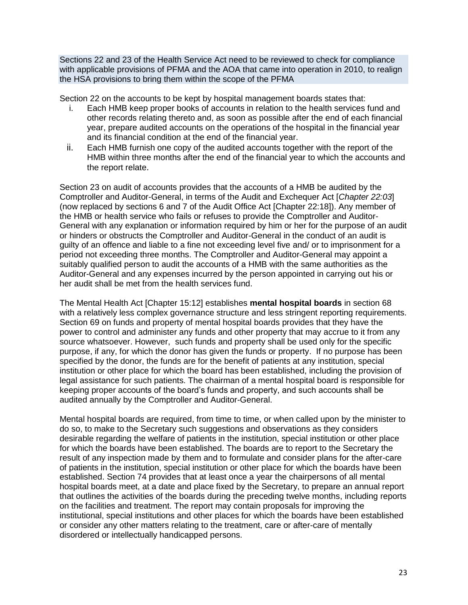Sections 22 and 23 of the Health Service Act need to be reviewed to check for compliance with applicable provisions of PFMA and the AOA that came into operation in 2010, to realign the HSA provisions to bring them within the scope of the PFMA

Section 22 on the accounts to be kept by hospital management boards states that:

- i. Each HMB keep proper books of accounts in relation to the health services fund and other records relating thereto and, as soon as possible after the end of each financial year, prepare audited accounts on the operations of the hospital in the financial year and its financial condition at the end of the financial year.
- ii. Each HMB furnish one copy of the audited accounts together with the report of the HMB within three months after the end of the financial year to which the accounts and the report relate.

Section 23 on audit of accounts provides that the accounts of a HMB be audited by the Comptroller and Auditor-General, in terms of the Audit and Exchequer Act [*Chapter 22:03*] (now replaced by sections 6 and 7 of the Audit Office Act [Chapter 22:18]). Any member of the HMB or health service who fails or refuses to provide the Comptroller and Auditor-General with any explanation or information required by him or her for the purpose of an audit or hinders or obstructs the Comptroller and Auditor-General in the conduct of an audit is guilty of an offence and liable to a fine not exceeding level five and/ or to imprisonment for a period not exceeding three months. The Comptroller and Auditor-General may appoint a suitably qualified person to audit the accounts of a HMB with the same authorities as the Auditor-General and any expenses incurred by the person appointed in carrying out his or her audit shall be met from the health services fund.

The Mental Health Act [Chapter 15:12] establishes **mental hospital boards** in section 68 with a relatively less complex governance structure and less stringent reporting requirements. Section 69 on funds and property of mental hospital boards provides that they have the power to control and administer any funds and other property that may accrue to it from any source whatsoever. However, such funds and property shall be used only for the specific purpose, if any, for which the donor has given the funds or property. If no purpose has been specified by the donor, the funds are for the benefit of patients at any institution, special institution or other place for which the board has been established, including the provision of legal assistance for such patients. The chairman of a mental hospital board is responsible for keeping proper accounts of the board's funds and property, and such accounts shall be audited annually by the Comptroller and Auditor-General.

Mental hospital boards are required, from time to time, or when called upon by the minister to do so, to make to the Secretary such suggestions and observations as they considers desirable regarding the welfare of patients in the institution, special institution or other place for which the boards have been established. The boards are to report to the Secretary the result of any inspection made by them and to formulate and consider plans for the after-care of patients in the institution, special institution or other place for which the boards have been established. Section 74 provides that at least once a year the chairpersons of all mental hospital boards meet, at a date and place fixed by the Secretary, to prepare an annual report that outlines the activities of the boards during the preceding twelve months, including reports on the facilities and treatment. The report may contain proposals for improving the institutional, special institutions and other places for which the boards have been established or consider any other matters relating to the treatment, care or after-care of mentally disordered or intellectually handicapped persons.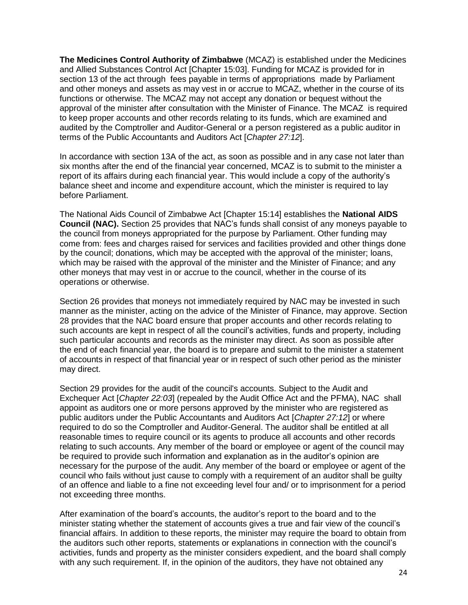**The Medicines Control Authority of Zimbabwe** (MCAZ) is established under the Medicines and Allied Substances Control Act [Chapter 15:03]. Funding for MCAZ is provided for in section 13 of the act through fees payable in terms of appropriations made by Parliament and other moneys and assets as may vest in or accrue to MCAZ, whether in the course of its functions or otherwise. The MCAZ may not accept any donation or bequest without the approval of the minister after consultation with the Minister of Finance. The MCAZ is required to keep proper accounts and other records relating to its funds, which are examined and audited by the Comptroller and Auditor-General or a person registered as a public auditor in terms of the Public Accountants and Auditors Act [*Chapter 27:12*].

In accordance with section 13A of the act, as soon as possible and in any case not later than six months after the end of the financial year concerned, MCAZ is to submit to the minister a report of its affairs during each financial year. This would include a copy of the authority's balance sheet and income and expenditure account, which the minister is required to lay before Parliament.

The National Aids Council of Zimbabwe Act [Chapter 15:14] establishes the **National AIDS Council (NAC).** Section 25 provides that NAC's funds shall consist of any moneys payable to the council from moneys appropriated for the purpose by Parliament. Other funding may come from: fees and charges raised for services and facilities provided and other things done by the council; donations, which may be accepted with the approval of the minister; loans, which may be raised with the approval of the minister and the Minister of Finance; and any other moneys that may vest in or accrue to the council, whether in the course of its operations or otherwise.

Section 26 provides that moneys not immediately required by NAC may be invested in such manner as the minister, acting on the advice of the Minister of Finance, may approve. Section 28 provides that the NAC board ensure that proper accounts and other records relating to such accounts are kept in respect of all the council's activities, funds and property, including such particular accounts and records as the minister may direct. As soon as possible after the end of each financial year, the board is to prepare and submit to the minister a statement of accounts in respect of that financial year or in respect of such other period as the minister may direct.

Section 29 provides for the audit of the council's accounts. Subject to the Audit and Exchequer Act [*Chapter 22:03*] (repealed by the Audit Office Act and the PFMA), NAC shall appoint as auditors one or more persons approved by the minister who are registered as public auditors under the Public Accountants and Auditors Act [*Chapter 27:12*] or where required to do so the Comptroller and Auditor-General. The auditor shall be entitled at all reasonable times to require council or its agents to produce all accounts and other records relating to such accounts. Any member of the board or employee or agent of the council may be required to provide such information and explanation as in the auditor's opinion are necessary for the purpose of the audit. Any member of the board or employee or agent of the council who fails without just cause to comply with a requirement of an auditor shall be guilty of an offence and liable to a fine not exceeding level four and/ or to imprisonment for a period not exceeding three months.

After examination of the board's accounts, the auditor's report to the board and to the minister stating whether the statement of accounts gives a true and fair view of the council's financial affairs. In addition to these reports, the minister may require the board to obtain from the auditors such other reports, statements or explanations in connection with the council's activities, funds and property as the minister considers expedient, and the board shall comply with any such requirement. If, in the opinion of the auditors, they have not obtained any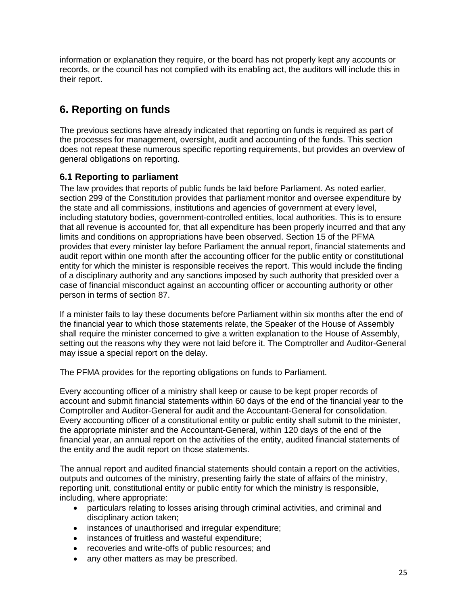information or explanation they require, or the board has not properly kept any accounts or records, or the council has not complied with its enabling act, the auditors will include this in their report.

## <span id="page-25-0"></span>**6. Reporting on funds**

The previous sections have already indicated that reporting on funds is required as part of the processes for management, oversight, audit and accounting of the funds. This section does not repeat these numerous specific reporting requirements, but provides an overview of general obligations on reporting.

#### <span id="page-25-1"></span>**6.1 Reporting to parliament**

The law provides that reports of public funds be laid before Parliament. As noted earlier, section 299 of the Constitution provides that parliament monitor and oversee expenditure by the state and all commissions, institutions and agencies of government at every level, including statutory bodies, government-controlled entities, local authorities. This is to ensure that all revenue is accounted for, that all expenditure has been properly incurred and that any limits and conditions on appropriations have been observed. Section 15 of the PFMA provides that every minister lay before Parliament the annual report, financial statements and audit report within one month after the accounting officer for the public entity or constitutional entity for which the minister is responsible receives the report. This would include the finding of a disciplinary authority and any sanctions imposed by such authority that presided over a case of financial misconduct against an accounting officer or accounting authority or other person in terms of section 87.

If a minister fails to lay these documents before Parliament within six months after the end of the financial year to which those statements relate, the Speaker of the House of Assembly shall require the minister concerned to give a written explanation to the House of Assembly, setting out the reasons why they were not laid before it. The Comptroller and Auditor-General may issue a special report on the delay.

The PFMA provides for the reporting obligations on funds to Parliament.

Every accounting officer of a ministry shall keep or cause to be kept proper records of account and submit financial statements within 60 days of the end of the financial year to the Comptroller and Auditor-General for audit and the Accountant-General for consolidation. Every accounting officer of a constitutional entity or public entity shall submit to the minister, the appropriate minister and the Accountant-General, within 120 days of the end of the financial year, an annual report on the activities of the entity, audited financial statements of the entity and the audit report on those statements.

The annual report and audited financial statements should contain a report on the activities, outputs and outcomes of the ministry, presenting fairly the state of affairs of the ministry, reporting unit, constitutional entity or public entity for which the ministry is responsible, including, where appropriate:

- particulars relating to losses arising through criminal activities, and criminal and disciplinary action taken;
- instances of unauthorised and irregular expenditure;
- instances of fruitless and wasteful expenditure;
- recoveries and write-offs of public resources; and
- any other matters as may be prescribed.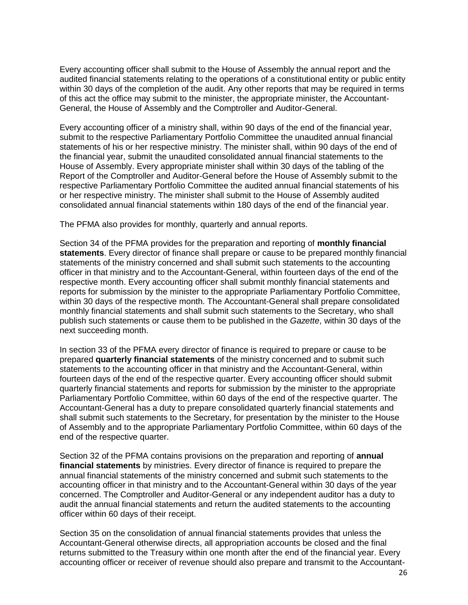Every accounting officer shall submit to the House of Assembly the annual report and the audited financial statements relating to the operations of a constitutional entity or public entity within 30 days of the completion of the audit. Any other reports that may be required in terms of this act the office may submit to the minister, the appropriate minister, the Accountant-General, the House of Assembly and the Comptroller and Auditor-General.

Every accounting officer of a ministry shall, within 90 days of the end of the financial year, submit to the respective Parliamentary Portfolio Committee the unaudited annual financial statements of his or her respective ministry. The minister shall, within 90 days of the end of the financial year, submit the unaudited consolidated annual financial statements to the House of Assembly. Every appropriate minister shall within 30 days of the tabling of the Report of the Comptroller and Auditor-General before the House of Assembly submit to the respective Parliamentary Portfolio Committee the audited annual financial statements of his or her respective ministry. The minister shall submit to the House of Assembly audited consolidated annual financial statements within 180 days of the end of the financial year.

The PFMA also provides for monthly, quarterly and annual reports.

Section 34 of the PFMA provides for the preparation and reporting of **monthly financial statements**. Every director of finance shall prepare or cause to be prepared monthly financial statements of the ministry concerned and shall submit such statements to the accounting officer in that ministry and to the Accountant-General, within fourteen days of the end of the respective month. Every accounting officer shall submit monthly financial statements and reports for submission by the minister to the appropriate Parliamentary Portfolio Committee, within 30 days of the respective month. The Accountant-General shall prepare consolidated monthly financial statements and shall submit such statements to the Secretary, who shall publish such statements or cause them to be published in the *Gazette*, within 30 days of the next succeeding month.

In section 33 of the PFMA every director of finance is required to prepare or cause to be prepared **quarterly financial statements** of the ministry concerned and to submit such statements to the accounting officer in that ministry and the Accountant-General, within fourteen days of the end of the respective quarter. Every accounting officer should submit quarterly financial statements and reports for submission by the minister to the appropriate Parliamentary Portfolio Committee, within 60 days of the end of the respective quarter. The Accountant-General has a duty to prepare consolidated quarterly financial statements and shall submit such statements to the Secretary, for presentation by the minister to the House of Assembly and to the appropriate Parliamentary Portfolio Committee, within 60 days of the end of the respective quarter.

Section 32 of the PFMA contains provisions on the preparation and reporting of **annual financial statements** by ministries. Every director of finance is required to prepare the annual financial statements of the ministry concerned and submit such statements to the accounting officer in that ministry and to the Accountant-General within 30 days of the year concerned. The Comptroller and Auditor-General or any independent auditor has a duty to audit the annual financial statements and return the audited statements to the accounting officer within 60 days of their receipt.

Section 35 on the consolidation of annual financial statements provides that unless the Accountant-General otherwise directs, all appropriation accounts be closed and the final returns submitted to the Treasury within one month after the end of the financial year. Every accounting officer or receiver of revenue should also prepare and transmit to the Accountant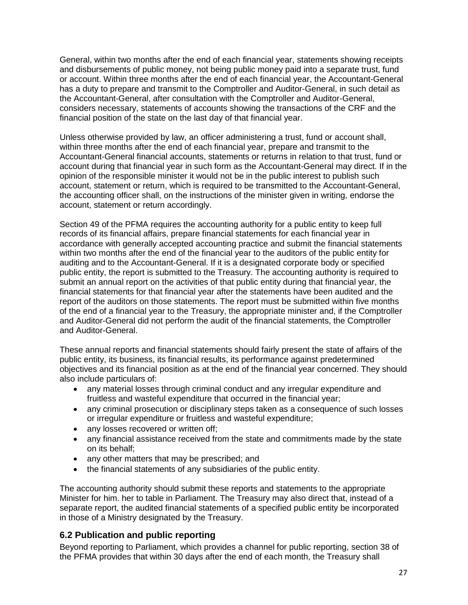General, within two months after the end of each financial year, statements showing receipts and disbursements of public money, not being public money paid into a separate trust, fund or account. Within three months after the end of each financial year, the Accountant-General has a duty to prepare and transmit to the Comptroller and Auditor-General, in such detail as the Accountant-General, after consultation with the Comptroller and Auditor-General, considers necessary, statements of accounts showing the transactions of the CRF and the financial position of the state on the last day of that financial year.

Unless otherwise provided by law, an officer administering a trust, fund or account shall, within three months after the end of each financial year, prepare and transmit to the Accountant-General financial accounts, statements or returns in relation to that trust, fund or account during that financial year in such form as the Accountant-General may direct. If in the opinion of the responsible minister it would not be in the public interest to publish such account, statement or return, which is required to be transmitted to the Accountant-General, the accounting officer shall, on the instructions of the minister given in writing, endorse the account, statement or return accordingly.

Section 49 of the PFMA requires the accounting authority for a public entity to keep full records of its financial affairs, prepare financial statements for each financial year in accordance with generally accepted accounting practice and submit the financial statements within two months after the end of the financial year to the auditors of the public entity for auditing and to the Accountant-General. If it is a designated corporate body or specified public entity, the report is submitted to the Treasury. The accounting authority is required to submit an annual report on the activities of that public entity during that financial year, the financial statements for that financial year after the statements have been audited and the report of the auditors on those statements. The report must be submitted within five months of the end of a financial year to the Treasury, the appropriate minister and, if the Comptroller and Auditor-General did not perform the audit of the financial statements, the Comptroller and Auditor-General.

These annual reports and financial statements should fairly present the state of affairs of the public entity, its business, its financial results, its performance against predetermined objectives and its financial position as at the end of the financial year concerned. They should also include particulars of:

- any material losses through criminal conduct and any irregular expenditure and fruitless and wasteful expenditure that occurred in the financial year;
- any criminal prosecution or disciplinary steps taken as a consequence of such losses or irregular expenditure or fruitless and wasteful expenditure;
- any losses recovered or written off;
- any financial assistance received from the state and commitments made by the state on its behalf;
- any other matters that may be prescribed; and
- the financial statements of any subsidiaries of the public entity.

The accounting authority should submit these reports and statements to the appropriate Minister for him. her to table in Parliament. The Treasury may also direct that, instead of a separate report, the audited financial statements of a specified public entity be incorporated in those of a Ministry designated by the Treasury.

#### <span id="page-27-0"></span>**6.2 Publication and public reporting**

Beyond reporting to Parliament, which provides a channel for public reporting, section 38 of the PFMA provides that within 30 days after the end of each month, the Treasury shall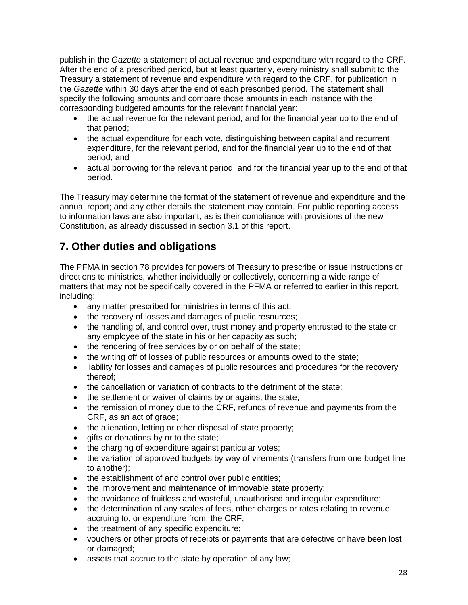publish in the *Gazette* a statement of actual revenue and expenditure with regard to the CRF. After the end of a prescribed period, but at least quarterly, every ministry shall submit to the Treasury a statement of revenue and expenditure with regard to the CRF, for publication in the *Gazette* within 30 days after the end of each prescribed period. The statement shall specify the following amounts and compare those amounts in each instance with the corresponding budgeted amounts for the relevant financial year:

- the actual revenue for the relevant period, and for the financial year up to the end of that period;
- the actual expenditure for each vote, distinguishing between capital and recurrent expenditure, for the relevant period, and for the financial year up to the end of that period; and
- actual borrowing for the relevant period, and for the financial year up to the end of that period.

The Treasury may determine the format of the statement of revenue and expenditure and the annual report; and any other details the statement may contain. For public reporting access to information laws are also important, as is their compliance with provisions of the new Constitution, as already discussed in section 3.1 of this report.

## <span id="page-28-0"></span>**7. Other duties and obligations**

The PFMA in section 78 provides for powers of Treasury to prescribe or issue instructions or directions to ministries, whether individually or collectively, concerning a wide range of matters that may not be specifically covered in the PFMA or referred to earlier in this report, including:

- any matter prescribed for ministries in terms of this act;
- the recovery of losses and damages of public resources;
- the handling of, and control over, trust money and property entrusted to the state or any employee of the state in his or her capacity as such;
- the rendering of free services by or on behalf of the state;
- the writing off of losses of public resources or amounts owed to the state;
- liability for losses and damages of public resources and procedures for the recovery thereof;
- the cancellation or variation of contracts to the detriment of the state;
- the settlement or waiver of claims by or against the state;
- the remission of money due to the CRF, refunds of revenue and payments from the CRF, as an act of grace;
- the alienation, letting or other disposal of state property;
- gifts or donations by or to the state;
- the charging of expenditure against particular votes;
- the variation of approved budgets by way of virements (transfers from one budget line to another);
- the establishment of and control over public entities;
- the improvement and maintenance of immovable state property;
- the avoidance of fruitless and wasteful, unauthorised and irregular expenditure;
- the determination of any scales of fees, other charges or rates relating to revenue accruing to, or expenditure from, the CRF;
- the treatment of any specific expenditure;
- vouchers or other proofs of receipts or payments that are defective or have been lost or damaged;
- assets that accrue to the state by operation of any law;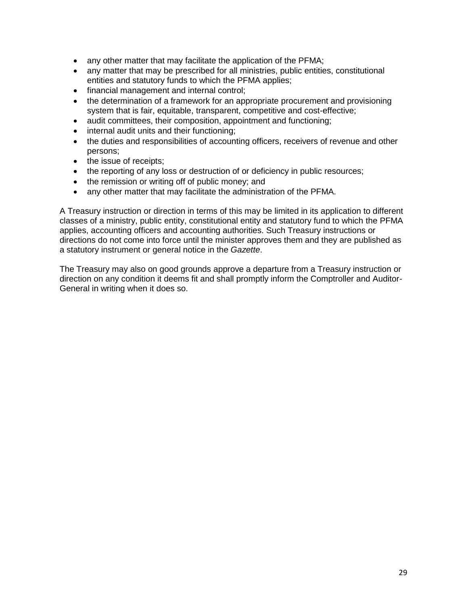- any other matter that may facilitate the application of the PFMA;
- any matter that may be prescribed for all ministries, public entities, constitutional entities and statutory funds to which the PFMA applies;
- financial management and internal control;
- the determination of a framework for an appropriate procurement and provisioning system that is fair, equitable, transparent, competitive and cost-effective;
- audit committees, their composition, appointment and functioning;
- internal audit units and their functioning;
- the duties and responsibilities of accounting officers, receivers of revenue and other persons;
- the issue of receipts;
- the reporting of any loss or destruction of or deficiency in public resources;
- the remission or writing off of public money; and
- any other matter that may facilitate the administration of the PFMA.

A Treasury instruction or direction in terms of this may be limited in its application to different classes of a ministry, public entity, constitutional entity and statutory fund to which the PFMA applies, accounting officers and accounting authorities. Such Treasury instructions or directions do not come into force until the minister approves them and they are published as a statutory instrument or general notice in the *Gazette*.

The Treasury may also on good grounds approve a departure from a Treasury instruction or direction on any condition it deems fit and shall promptly inform the Comptroller and Auditor-General in writing when it does so.